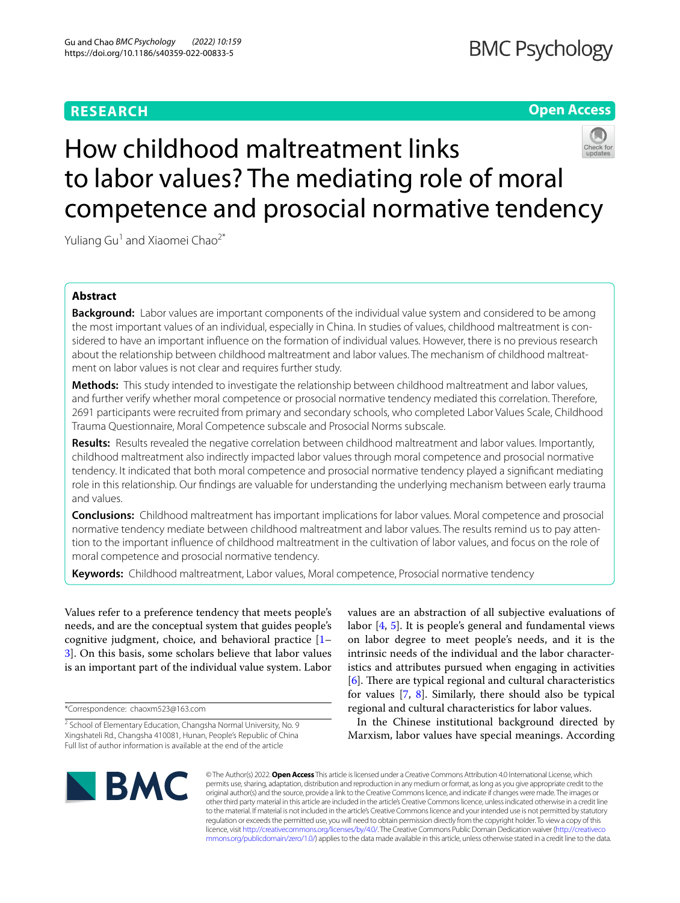## **RESEARCH**

## **BMC Psychology**

## **Open Access**



# How childhood maltreatment links to labor values? The mediating role of moral competence and prosocial normative tendency

Yuliang Gu<sup>1</sup> and Xiaomei Chao<sup>2\*</sup>

## **Abstract**

**Background:** Labor values are important components of the individual value system and considered to be among the most important values of an individual, especially in China. In studies of values, childhood maltreatment is considered to have an important influence on the formation of individual values. However, there is no previous research about the relationship between childhood maltreatment and labor values. The mechanism of childhood maltreatment on labor values is not clear and requires further study.

**Methods:** This study intended to investigate the relationship between childhood maltreatment and labor values, and further verify whether moral competence or prosocial normative tendency mediated this correlation. Therefore, 2691 participants were recruited from primary and secondary schools, who completed Labor Values Scale, Childhood Trauma Questionnaire, Moral Competence subscale and Prosocial Norms subscale.

**Results:** Results revealed the negative correlation between childhood maltreatment and labor values. Importantly, childhood maltreatment also indirectly impacted labor values through moral competence and prosocial normative tendency. It indicated that both moral competence and prosocial normative tendency played a signifcant mediating role in this relationship. Our fndings are valuable for understanding the underlying mechanism between early trauma and values.

**Conclusions:** Childhood maltreatment has important implications for labor values. Moral competence and prosocial normative tendency mediate between childhood maltreatment and labor values. The results remind us to pay attention to the important infuence of childhood maltreatment in the cultivation of labor values, and focus on the role of moral competence and prosocial normative tendency.

**Keywords:** Childhood maltreatment, Labor values, Moral competence, Prosocial normative tendency

Values refer to a preference tendency that meets people's needs, and are the conceptual system that guides people's cognitive judgment, choice, and behavioral practice [[1–](#page-6-0) [3\]](#page-6-1). On this basis, some scholars believe that labor values is an important part of the individual value system. Labor

\*Correspondence: chaoxm523@163.com

values are an abstraction of all subjective evaluations of labor [\[4,](#page-6-2) [5](#page-6-3)]. It is people's general and fundamental views on labor degree to meet people's needs, and it is the intrinsic needs of the individual and the labor characteristics and attributes pursued when engaging in activities [[6\]](#page-6-4). There are typical regional and cultural characteristics for values [\[7,](#page-6-5) [8](#page-6-6)]. Similarly, there should also be typical regional and cultural characteristics for labor values.

In the Chinese institutional background directed by Marxism, labor values have special meanings. According



© The Author(s) 2022. **Open Access** This article is licensed under a Creative Commons Attribution 4.0 International License, which permits use, sharing, adaptation, distribution and reproduction in any medium or format, as long as you give appropriate credit to the original author(s) and the source, provide a link to the Creative Commons licence, and indicate if changes were made. The images or other third party material in this article are included in the article's Creative Commons licence, unless indicated otherwise in a credit line to the material. If material is not included in the article's Creative Commons licence and your intended use is not permitted by statutory regulation or exceeds the permitted use, you will need to obtain permission directly from the copyright holder. To view a copy of this licence, visit [http://creativecommons.org/licenses/by/4.0/.](http://creativecommons.org/licenses/by/4.0/) The Creative Commons Public Domain Dedication waiver ([http://creativeco](http://creativecommons.org/publicdomain/zero/1.0/) [mmons.org/publicdomain/zero/1.0/](http://creativecommons.org/publicdomain/zero/1.0/)) applies to the data made available in this article, unless otherwise stated in a credit line to the data.

<sup>&</sup>lt;sup>2</sup> School of Elementary Education, Changsha Normal University, No. 9 Xingshateli Rd., Changsha 410081, Hunan, People's Republic of China Full list of author information is available at the end of the article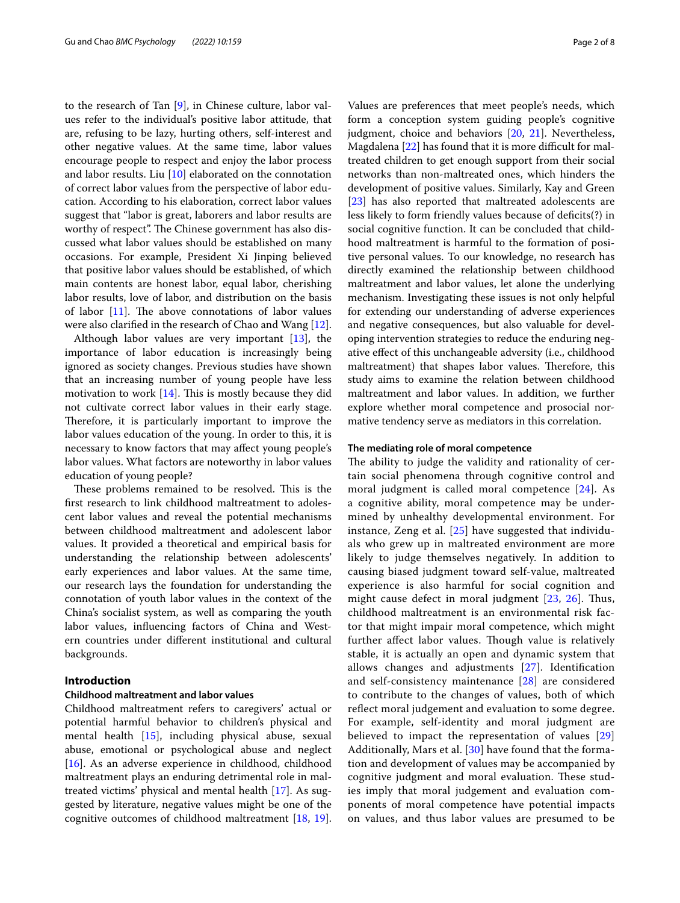to the research of Tan [\[9](#page-6-7)], in Chinese culture, labor values refer to the individual's positive labor attitude, that are, refusing to be lazy, hurting others, self-interest and other negative values. At the same time, labor values encourage people to respect and enjoy the labor process and labor results. Liu [\[10](#page-6-8)] elaborated on the connotation of correct labor values from the perspective of labor education. According to his elaboration, correct labor values suggest that "labor is great, laborers and labor results are worthy of respect". The Chinese government has also discussed what labor values should be established on many occasions. For example, President Xi Jinping believed that positive labor values should be established, of which main contents are honest labor, equal labor, cherishing labor results, love of labor, and distribution on the basis of labor  $[11]$  $[11]$ . The above connotations of labor values were also clarifed in the research of Chao and Wang [\[12](#page-6-10)].

Although labor values are very important [[13\]](#page-6-11), the importance of labor education is increasingly being ignored as society changes. Previous studies have shown that an increasing number of young people have less motivation to work  $[14]$  $[14]$  $[14]$ . This is mostly because they did not cultivate correct labor values in their early stage. Therefore, it is particularly important to improve the labor values education of the young. In order to this, it is necessary to know factors that may afect young people's labor values. What factors are noteworthy in labor values education of young people?

These problems remained to be resolved. This is the frst research to link childhood maltreatment to adolescent labor values and reveal the potential mechanisms between childhood maltreatment and adolescent labor values. It provided a theoretical and empirical basis for understanding the relationship between adolescents' early experiences and labor values. At the same time, our research lays the foundation for understanding the connotation of youth labor values in the context of the China's socialist system, as well as comparing the youth labor values, infuencing factors of China and Western countries under diferent institutional and cultural backgrounds.

## **Introduction**

## **Childhood maltreatment and labor values**

Childhood maltreatment refers to caregivers' actual or potential harmful behavior to children's physical and mental health [[15\]](#page-6-13), including physical abuse, sexual abuse, emotional or psychological abuse and neglect [[16\]](#page-6-14). As an adverse experience in childhood, childhood maltreatment plays an enduring detrimental role in maltreated victims' physical and mental health [[17\]](#page-6-15). As suggested by literature, negative values might be one of the cognitive outcomes of childhood maltreatment [[18,](#page-6-16) [19](#page-6-17)]. Values are preferences that meet people's needs, which form a conception system guiding people's cognitive judgment, choice and behaviors [[20](#page-6-18), [21\]](#page-6-19). Nevertheless, Magdalena  $[22]$  $[22]$  has found that it is more difficult for maltreated children to get enough support from their social networks than non-maltreated ones, which hinders the development of positive values. Similarly, Kay and Green [[23\]](#page-7-1) has also reported that maltreated adolescents are less likely to form friendly values because of deficits(?) in social cognitive function. It can be concluded that childhood maltreatment is harmful to the formation of positive personal values. To our knowledge, no research has directly examined the relationship between childhood maltreatment and labor values, let alone the underlying mechanism. Investigating these issues is not only helpful for extending our understanding of adverse experiences and negative consequences, but also valuable for developing intervention strategies to reduce the enduring negative efect of this unchangeable adversity (i.e., childhood maltreatment) that shapes labor values. Therefore, this study aims to examine the relation between childhood maltreatment and labor values. In addition, we further explore whether moral competence and prosocial normative tendency serve as mediators in this correlation.

## **The mediating role of moral competence**

The ability to judge the validity and rationality of certain social phenomena through cognitive control and moral judgment is called moral competence [\[24](#page-7-2)]. As a cognitive ability, moral competence may be undermined by unhealthy developmental environment. For instance, Zeng et al. [[25](#page-7-3)] have suggested that individuals who grew up in maltreated environment are more likely to judge themselves negatively. In addition to causing biased judgment toward self-value, maltreated experience is also harmful for social cognition and might cause defect in moral judgment  $[23, 26]$  $[23, 26]$  $[23, 26]$ . Thus, childhood maltreatment is an environmental risk factor that might impair moral competence, which might further affect labor values. Though value is relatively stable, it is actually an open and dynamic system that allows changes and adjustments [[27](#page-7-5)]. Identifcation and self-consistency maintenance [[28\]](#page-7-6) are considered to contribute to the changes of values, both of which refect moral judgement and evaluation to some degree. For example, self-identity and moral judgment are believed to impact the representation of values [\[29](#page-7-7)] Additionally, Mars et al. [[30\]](#page-7-8) have found that the formation and development of values may be accompanied by cognitive judgment and moral evaluation. These studies imply that moral judgement and evaluation components of moral competence have potential impacts on values, and thus labor values are presumed to be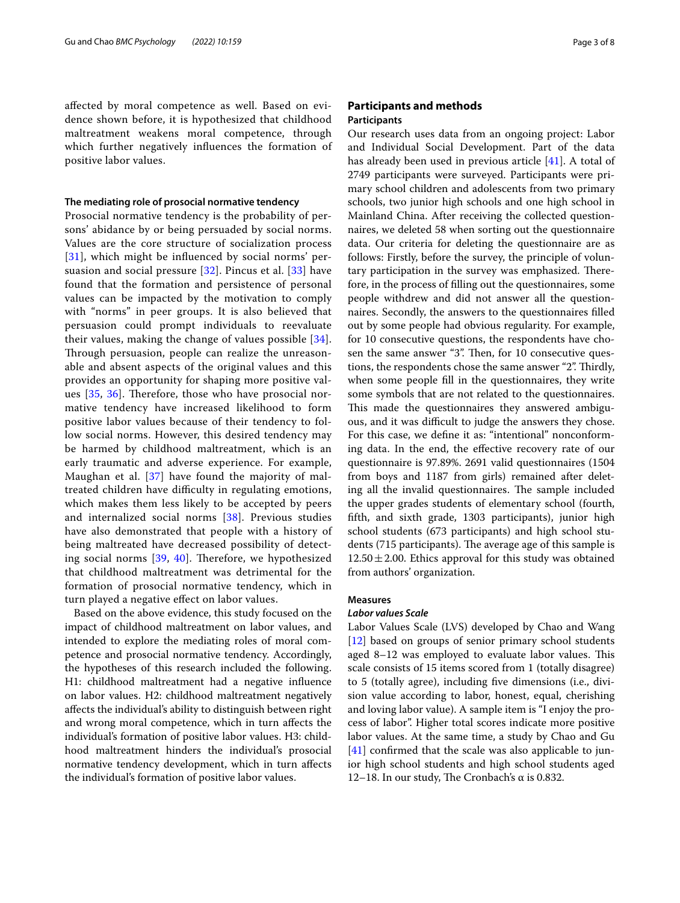afected by moral competence as well. Based on evidence shown before, it is hypothesized that childhood maltreatment weakens moral competence, through which further negatively infuences the formation of positive labor values.

## **The mediating role of prosocial normative tendency**

Prosocial normative tendency is the probability of persons' abidance by or being persuaded by social norms. Values are the core structure of socialization process [[31](#page-7-9)], which might be influenced by social norms' persuasion and social pressure [[32\]](#page-7-10). Pincus et al. [[33](#page-7-11)] have found that the formation and persistence of personal values can be impacted by the motivation to comply with "norms" in peer groups. It is also believed that persuasion could prompt individuals to reevaluate their values, making the change of values possible [[34\]](#page-7-12). Through persuasion, people can realize the unreasonable and absent aspects of the original values and this provides an opportunity for shaping more positive values  $[35, 36]$  $[35, 36]$  $[35, 36]$  $[35, 36]$ . Therefore, those who have prosocial normative tendency have increased likelihood to form positive labor values because of their tendency to follow social norms. However, this desired tendency may be harmed by childhood maltreatment, which is an early traumatic and adverse experience. For example, Maughan et al. [[37\]](#page-7-15) have found the majority of maltreated children have difficulty in regulating emotions, which makes them less likely to be accepted by peers and internalized social norms [\[38](#page-7-16)]. Previous studies have also demonstrated that people with a history of being maltreated have decreased possibility of detecting social norms  $[39, 40]$  $[39, 40]$  $[39, 40]$  $[39, 40]$ . Therefore, we hypothesized that childhood maltreatment was detrimental for the formation of prosocial normative tendency, which in turn played a negative efect on labor values.

Based on the above evidence, this study focused on the impact of childhood maltreatment on labor values, and intended to explore the mediating roles of moral competence and prosocial normative tendency. Accordingly, the hypotheses of this research included the following. H1: childhood maltreatment had a negative infuence on labor values. H2: childhood maltreatment negatively afects the individual's ability to distinguish between right and wrong moral competence, which in turn afects the individual's formation of positive labor values. H3: childhood maltreatment hinders the individual's prosocial normative tendency development, which in turn afects the individual's formation of positive labor values.

## **Participants and methods Participants**

Our research uses data from an ongoing project: Labor and Individual Social Development. Part of the data has already been used in previous article [\[41](#page-7-19)]. A total of 2749 participants were surveyed. Participants were primary school children and adolescents from two primary schools, two junior high schools and one high school in Mainland China. After receiving the collected questionnaires, we deleted 58 when sorting out the questionnaire data. Our criteria for deleting the questionnaire are as follows: Firstly, before the survey, the principle of voluntary participation in the survey was emphasized. Therefore, in the process of flling out the questionnaires, some people withdrew and did not answer all the questionnaires. Secondly, the answers to the questionnaires flled out by some people had obvious regularity. For example, for 10 consecutive questions, the respondents have chosen the same answer "3". Then, for 10 consecutive questions, the respondents chose the same answer "2". Thirdly, when some people fll in the questionnaires, they write some symbols that are not related to the questionnaires. This made the questionnaires they answered ambiguous, and it was difficult to judge the answers they chose. For this case, we defne it as: "intentional" nonconforming data. In the end, the efective recovery rate of our questionnaire is 97.89%. 2691 valid questionnaires (1504 from boys and 1187 from girls) remained after deleting all the invalid questionnaires. The sample included the upper grades students of elementary school (fourth, ffth, and sixth grade, 1303 participants), junior high school students (673 participants) and high school students (715 participants). The average age of this sample is  $12.50 \pm 2.00$ . Ethics approval for this study was obtained from authors' organization.

## **Measures**

## *Labor values Scale*

Labor Values Scale (LVS) developed by Chao and Wang [[12\]](#page-6-10) based on groups of senior primary school students aged 8–12 was employed to evaluate labor values. This scale consists of 15 items scored from 1 (totally disagree) to 5 (totally agree), including fve dimensions (i.e., division value according to labor, honest, equal, cherishing and loving labor value). A sample item is "I enjoy the process of labor". Higher total scores indicate more positive labor values. At the same time, a study by Chao and Gu [[41\]](#page-7-19) confirmed that the scale was also applicable to junior high school students and high school students aged 12–18. In our study, The Cronbach's  $\alpha$  is 0.832.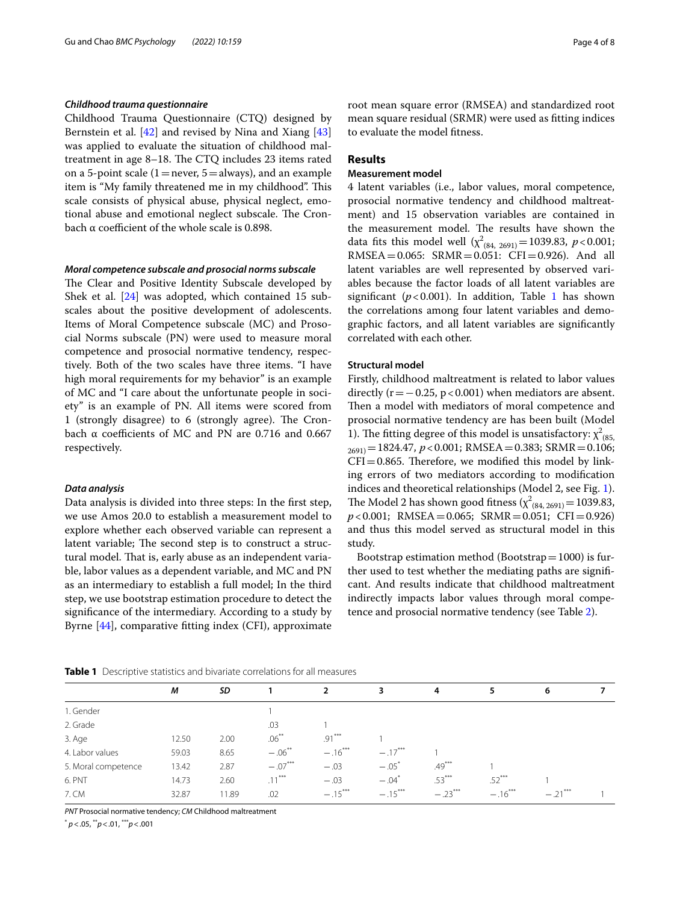## *Childhood trauma questionnaire*

Childhood Trauma Questionnaire (CTQ) designed by Bernstein et al. [[42\]](#page-7-20) and revised by Nina and Xiang [[43](#page-7-21)] was applied to evaluate the situation of childhood maltreatment in age  $8-18$ . The CTO includes 23 items rated on a 5-point scale  $(1=$  never,  $5=$  always), and an example item is "My family threatened me in my childhood". This scale consists of physical abuse, physical neglect, emotional abuse and emotional neglect subscale. The Cronbach  $\alpha$  coefficient of the whole scale is 0.898.

## *Moral competence subscale and prosocial norms subscale*

The Clear and Positive Identity Subscale developed by Shek et al. [[24\]](#page-7-2) was adopted, which contained 15 subscales about the positive development of adolescents. Items of Moral Competence subscale (MC) and Prosocial Norms subscale (PN) were used to measure moral competence and prosocial normative tendency, respectively. Both of the two scales have three items. "I have high moral requirements for my behavior" is an example of MC and "I care about the unfortunate people in society" is an example of PN. All items were scored from 1 (strongly disagree) to 6 (strongly agree). The Cronbach  $\alpha$  coefficients of MC and PN are 0.716 and 0.667 respectively.

## *Data analysis*

Data analysis is divided into three steps: In the frst step, we use Amos 20.0 to establish a measurement model to explore whether each observed variable can represent a latent variable; The second step is to construct a structural model. That is, early abuse as an independent variable, labor values as a dependent variable, and MC and PN as an intermediary to establish a full model; In the third step, we use bootstrap estimation procedure to detect the signifcance of the intermediary. According to a study by Byrne [\[44](#page-7-22)], comparative ftting index (CFI), approximate root mean square error (RMSEA) and standardized root mean square residual (SRMR) were used as ftting indices to evaluate the model ftness.

## **Results**

## **Measurement model**

4 latent variables (i.e., labor values, moral competence, prosocial normative tendency and childhood maltreatment) and 15 observation variables are contained in the measurement model. The results have shown the data fits this model well  $(\chi^2_{(84, 2691)} = 1039.83, p < 0.001;$  $RMSEA = 0.065$ :  $SRMR = 0.051$ :  $CFI = 0.926$ ). And all latent variables are well represented by observed variables because the factor loads of all latent variables are significant  $(p<0.001)$ . In addition, Table [1](#page-3-0) has shown the correlations among four latent variables and demographic factors, and all latent variables are signifcantly correlated with each other.

## **Structural model**

Firstly, childhood maltreatment is related to labor values directly ( $r = -0.25$ ,  $p < 0.001$ ) when mediators are absent. Then a model with mediators of moral competence and prosocial normative tendency are has been built (Model 1). The fitting degree of this model is unsatisfactory:  $\chi^2_{(85, 65)}$  $p_{2691}$ =1824.47,  $p$  < 0.001; RMSEA = 0.383; SRMR = 0.106;  $CFI = 0.865$ . Therefore, we modified this model by linking errors of two mediators according to modifcation indices and theoretical relationships (Model 2, see Fig. [1](#page-4-0)). The Model 2 has shown good fitness  $(\chi^2_{(84, 2691)} = 1039.83,$ *p*<0.001; RMSEA=0.065; SRMR=0.051; CFI=0.926) and thus this model served as structural model in this study.

Bootstrap estimation method (Bootstrap =  $1000$ ) is further used to test whether the mediating paths are signifcant. And results indicate that childhood maltreatment indirectly impacts labor values through moral competence and prosocial normative tendency (see Table [2](#page-4-1)).

|                     | М     | SD    |                  | 2         | 3                   | 4         | 5         | 6      |  |
|---------------------|-------|-------|------------------|-----------|---------------------|-----------|-----------|--------|--|
| 1. Gender           |       |       |                  |           |                     |           |           |        |  |
| 2. Grade            |       |       | .03              |           |                     |           |           |        |  |
| 3. Age              | 12.50 | 2.00  | $.06***$         | $.91***$  |                     |           |           |        |  |
| 4. Labor values     | 59.03 | 8.65  | $-.06$ **        | $-.16***$ | $-.17***$           |           |           |        |  |
| 5. Moral competence | 13.42 | 2.87  | $-.07***$        | $-.03$    | $-.05^*$            | $.49***$  |           |        |  |
| 6. PNT              | 14.73 | 2.60  | ***<br>$.11^{-}$ | $-.03$    | $-.04$ <sup>*</sup> | $.53***$  | $.52***$  |        |  |
| 7. CM               | 32.87 | 11.89 | .02              | $-.15***$ | $-.15***$           | $-.23***$ | $-.16***$ | $-.21$ |  |
|                     |       |       |                  |           |                     |           |           |        |  |

<span id="page-3-0"></span>**Table 1** Descriptive statistics and bivariate correlations for all measures

*PNT* Prosocial normative tendency; *CM* Childhood maltreatment

\* *p*<.05, \*\**p*<.01, \*\*\**p*<.001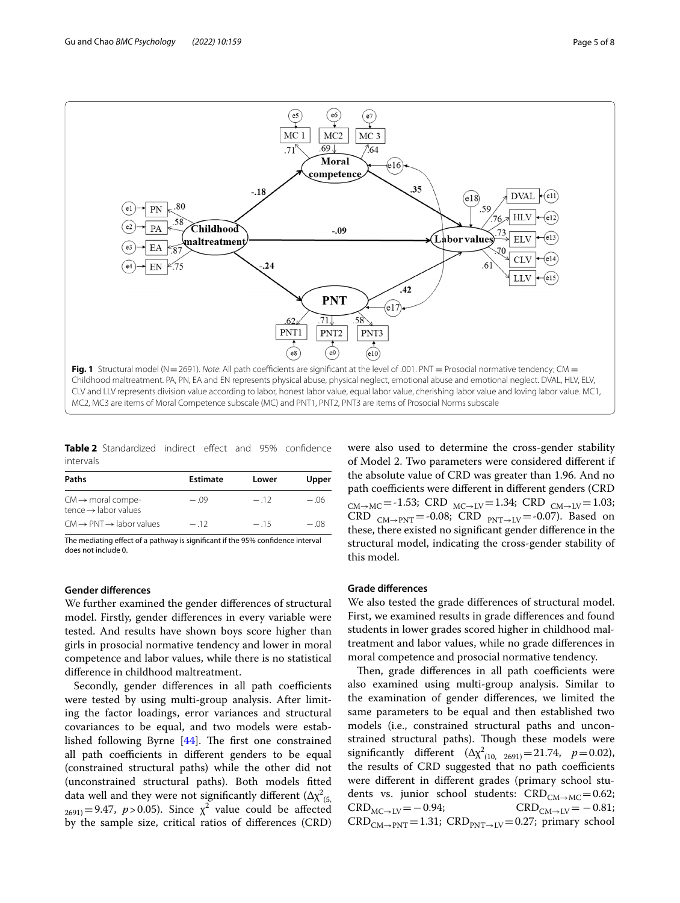

<span id="page-4-1"></span><span id="page-4-0"></span>**Table 2** Standardized indirect effect and 95% confidence intervals

| Paths                                                             | <b>Estimate</b> | Lower | Upper |
|-------------------------------------------------------------------|-----------------|-------|-------|
| $CM \rightarrow$ moral compe-<br>$tence \rightarrow labor values$ | $-.09$          | $-12$ | - 06  |
| $CM \rightarrow PNT \rightarrow$ labor values                     | $-12$           | $-15$ | - 08  |
|                                                                   |                 |       |       |

The mediating effect of a pathway is significant if the 95% confidence interval does not include 0

## **Gender diferences**

We further examined the gender diferences of structural model. Firstly, gender diferences in every variable were tested. And results have shown boys score higher than girls in prosocial normative tendency and lower in moral competence and labor values, while there is no statistical diference in childhood maltreatment.

Secondly, gender differences in all path coefficients were tested by using multi-group analysis. After limiting the factor loadings, error variances and structural covariances to be equal, and two models were established following Byrne  $[44]$ . The first one constrained all path coefficients in different genders to be equal (constrained structural paths) while the other did not (unconstrained structural paths). Both models ftted data well and they were not significantly different ( $\Delta \chi^2_{\ (5,1)}$  $_{2691)}$ =9.47, *p*>0.05). Since  $\chi^2$  value could be affected by the sample size, critical ratios of diferences (CRD)

were also used to determine the cross-gender stability of Model 2. Two parameters were considered diferent if the absolute value of CRD was greater than 1.96. And no path coefficients were different in different genders (CRD  $_{\text{CM}\rightarrow\text{MC}}$  = -1.53; CRD  $_{\text{MC}\rightarrow\text{LV}}$  = 1.34; CRD  $_{\text{CM}\rightarrow\text{LV}}$  = 1.03; CRD  $_{\text{CM}\rightarrow\text{PNT}}$  = -0.08; CRD  $_{\text{PNT}\rightarrow\text{LV}}$  = -0.07). Based on these, there existed no signifcant gender diference in the structural model, indicating the cross-gender stability of this model.

## **Grade diferences**

We also tested the grade diferences of structural model. First, we examined results in grade diferences and found students in lower grades scored higher in childhood maltreatment and labor values, while no grade diferences in moral competence and prosocial normative tendency.

Then, grade differences in all path coefficients were also examined using multi-group analysis. Similar to the examination of gender diferences, we limited the same parameters to be equal and then established two models (i.e., constrained structural paths and unconstrained structural paths). Though these models were significantly different  $(\Delta \chi^2_{(10, 2691)} = 21.74, p = 0.02)$ , the results of CRD suggested that no path coefficients were diferent in diferent grades (primary school students vs. junior school students:  $CRD_{CM\rightarrow MC} = 0.62$ ;<br> $CRD_{MC\rightarrow LV} = -0.94$ ;  $CRD_{CM\rightarrow LV} = -0.81$ ;  $CRD<sub>CM→LV</sub>= -0.81;$  $CRD_{CM\rightarrow PNT} = 1.31$ ;  $CRD_{PNT\rightarrow LV} = 0.27$ ; primary school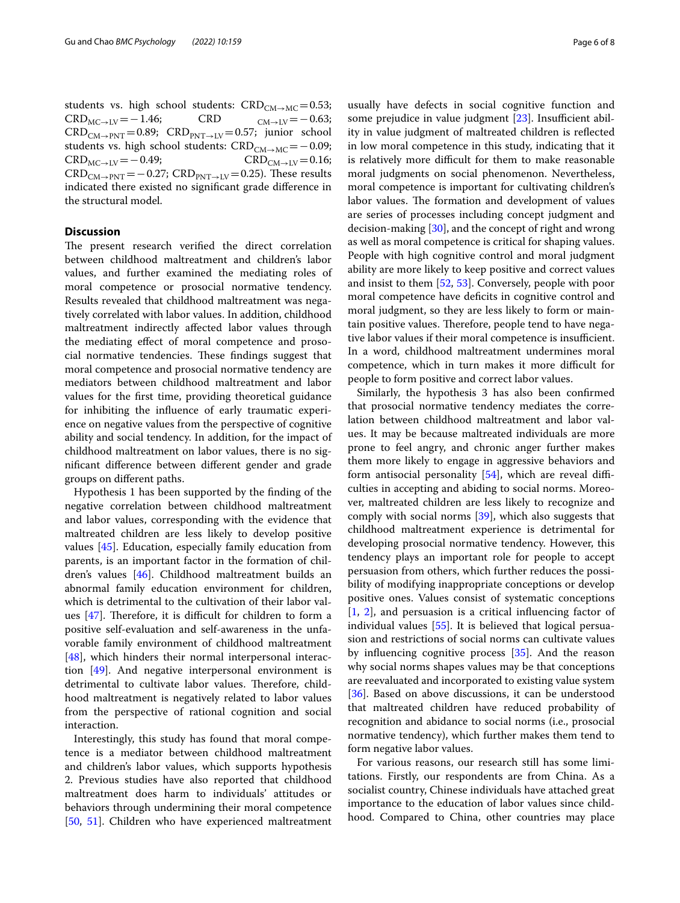students vs. high school students: CRD<br>  $CRD_{CM\rightarrow MC} = 0.53;$ <br>  $CRD_{MC\rightarrow LV} = -1.46;$ <br>
CRD<br>  $_{CM\rightarrow LV} = -0.63;$  $CRD<sub>MC→LV</sub>=-1.46;$  $CRD_{CM\rightarrow PNT} = 0.89$ ;  $CRD_{PNT\rightarrow IV} = 0.57$ ; junior school students vs. high school students:  $CRD_{CM\rightarrow MC} = -0.09$ ;<br> $CRD_{MC\rightarrow IV} = -0.49$ ;  $CRD_{CM\rightarrow IV} = 0.16$ ;  $CRD<sub>MC→LV</sub>=-0.49;$  $CRD_{CM\rightarrow PNT} = -0.27$ ;  $CRD_{PNT\rightarrow LV} = 0.25$ ). These results indicated there existed no signifcant grade diference in the structural model.

## **Discussion**

The present research verified the direct correlation between childhood maltreatment and children's labor values, and further examined the mediating roles of moral competence or prosocial normative tendency. Results revealed that childhood maltreatment was negatively correlated with labor values. In addition, childhood maltreatment indirectly afected labor values through the mediating efect of moral competence and prosocial normative tendencies. These findings suggest that moral competence and prosocial normative tendency are mediators between childhood maltreatment and labor values for the frst time, providing theoretical guidance for inhibiting the infuence of early traumatic experience on negative values from the perspective of cognitive ability and social tendency. In addition, for the impact of childhood maltreatment on labor values, there is no signifcant diference between diferent gender and grade groups on diferent paths.

Hypothesis 1 has been supported by the fnding of the negative correlation between childhood maltreatment and labor values, corresponding with the evidence that maltreated children are less likely to develop positive values [[45](#page-7-23)]. Education, especially family education from parents, is an important factor in the formation of children's values [[46](#page-7-24)]. Childhood maltreatment builds an abnormal family education environment for children, which is detrimental to the cultivation of their labor values  $[47]$  $[47]$ . Therefore, it is difficult for children to form a positive self-evaluation and self-awareness in the unfavorable family environment of childhood maltreatment [[48\]](#page-7-26), which hinders their normal interpersonal interaction [[49\]](#page-7-27). And negative interpersonal environment is detrimental to cultivate labor values. Therefore, childhood maltreatment is negatively related to labor values from the perspective of rational cognition and social interaction.

Interestingly, this study has found that moral competence is a mediator between childhood maltreatment and children's labor values, which supports hypothesis 2. Previous studies have also reported that childhood maltreatment does harm to individuals' attitudes or behaviors through undermining their moral competence [[50,](#page-7-28) [51](#page-7-29)]. Children who have experienced maltreatment

usually have defects in social cognitive function and some prejudice in value judgment  $[23]$  $[23]$ . Insufficient ability in value judgment of maltreated children is refected in low moral competence in this study, indicating that it is relatively more difficult for them to make reasonable moral judgments on social phenomenon. Nevertheless, moral competence is important for cultivating children's labor values. The formation and development of values are series of processes including concept judgment and decision-making [\[30](#page-7-8)], and the concept of right and wrong as well as moral competence is critical for shaping values. People with high cognitive control and moral judgment ability are more likely to keep positive and correct values and insist to them [\[52](#page-7-30), [53\]](#page-7-31). Conversely, people with poor moral competence have deficits in cognitive control and moral judgment, so they are less likely to form or maintain positive values. Therefore, people tend to have negative labor values if their moral competence is insufficient. In a word, childhood maltreatment undermines moral competence, which in turn makes it more difficult for people to form positive and correct labor values.

Similarly, the hypothesis 3 has also been confrmed that prosocial normative tendency mediates the correlation between childhood maltreatment and labor values. It may be because maltreated individuals are more prone to feel angry, and chronic anger further makes them more likely to engage in aggressive behaviors and form antisocial personality  $[54]$ , which are reveal difficulties in accepting and abiding to social norms. Moreover, maltreated children are less likely to recognize and comply with social norms [\[39\]](#page-7-17), which also suggests that childhood maltreatment experience is detrimental for developing prosocial normative tendency. However, this tendency plays an important role for people to accept persuasion from others, which further reduces the possibility of modifying inappropriate conceptions or develop positive ones. Values consist of systematic conceptions [[1,](#page-6-0) [2](#page-6-20)], and persuasion is a critical infuencing factor of individual values [\[55](#page-7-33)]. It is believed that logical persuasion and restrictions of social norms can cultivate values by infuencing cognitive process [[35\]](#page-7-13). And the reason why social norms shapes values may be that conceptions are reevaluated and incorporated to existing value system [[36\]](#page-7-14). Based on above discussions, it can be understood that maltreated children have reduced probability of recognition and abidance to social norms (i.e., prosocial normative tendency), which further makes them tend to form negative labor values.

For various reasons, our research still has some limitations. Firstly, our respondents are from China. As a socialist country, Chinese individuals have attached great importance to the education of labor values since childhood. Compared to China, other countries may place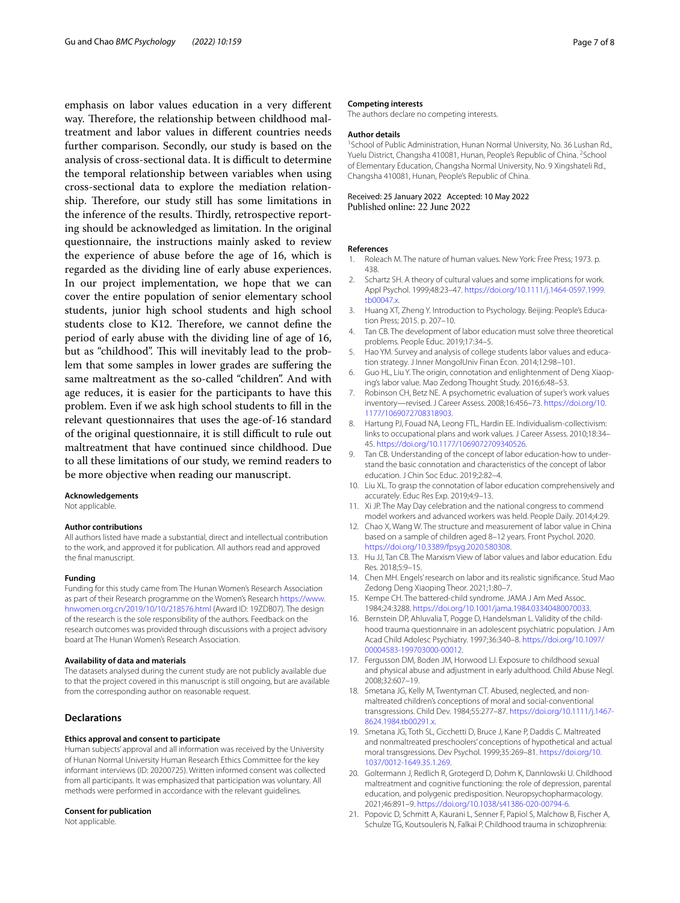emphasis on labor values education in a very diferent way. Therefore, the relationship between childhood maltreatment and labor values in diferent countries needs further comparison. Secondly, our study is based on the analysis of cross-sectional data. It is difficult to determine the temporal relationship between variables when using cross-sectional data to explore the mediation relationship. Therefore, our study still has some limitations in the inference of the results. Thirdly, retrospective reporting should be acknowledged as limitation. In the original questionnaire, the instructions mainly asked to review the experience of abuse before the age of 16, which is regarded as the dividing line of early abuse experiences. In our project implementation, we hope that we can cover the entire population of senior elementary school students, junior high school students and high school students close to K12. Therefore, we cannot define the period of early abuse with the dividing line of age of 16, but as "childhood". This will inevitably lead to the problem that some samples in lower grades are sufering the same maltreatment as the so-called "children". And with age reduces, it is easier for the participants to have this problem. Even if we ask high school students to fll in the relevant questionnaires that uses the age-of-16 standard of the original questionnaire, it is still difficult to rule out maltreatment that have continued since childhood. Due to all these limitations of our study, we remind readers to be more objective when reading our manuscript.

#### **Acknowledgements**

Not applicable.

#### **Author contributions**

All authors listed have made a substantial, direct and intellectual contribution to the work, and approved it for publication. All authors read and approved the fnal manuscript.

### **Funding**

Funding for this study came from The Hunan Women's Research Association as part of their Research programme on the Women's Research [https://www.](https://www.hnwomen.org.cn/2019/10/10/218576.html) [hnwomen.org.cn/2019/10/10/218576.html](https://www.hnwomen.org.cn/2019/10/10/218576.html) (Award ID: 19ZDB07). The design of the research is the sole responsibility of the authors. Feedback on the research outcomes was provided through discussions with a project advisory board at The Hunan Women's Research Association.

#### **Availability of data and materials**

The datasets analysed during the current study are not publicly available due to that the project covered in this manuscript is still ongoing, but are available from the corresponding author on reasonable request.

## **Declarations**

## **Ethics approval and consent to participate**

Human subjects' approval and all information was received by the University of Hunan Normal University Human Research Ethics Committee for the key informant interviews (ID: 20200725). Written informed consent was collected from all participants. It was emphasized that participation was voluntary. All methods were performed in accordance with the relevant guidelines.

#### **Consent for publication**

Not applicable.

### **Competing interests**

The authors declare no competing interests.

#### **Author details**

<sup>1</sup> School of Public Administration, Hunan Normal University, No. 36 Lushan Rd., Yuelu District, Changsha 410081, Hunan, People's Republic of China. <sup>2</sup>School of Elementary Education, Changsha Normal University, No. 9 Xingshateli Rd., Changsha 410081, Hunan, People's Republic of China.

Received: 25 January 2022 Accepted: 10 May 2022 Published online: 22 June 2022

#### **References**

- <span id="page-6-0"></span>1. Roleach M. The nature of human values. New York: Free Press; 1973. p. 438.
- <span id="page-6-20"></span>2. Schartz SH. A theory of cultural values and some implications for work. Appl Psychol. 1999;48:23–47. [https://doi.org/10.1111/j.1464-0597.1999.](https://doi.org/10.1111/j.1464-0597.1999.tb00047.x) [tb00047.x](https://doi.org/10.1111/j.1464-0597.1999.tb00047.x).
- <span id="page-6-1"></span>3. Huang XT, Zheng Y. Introduction to Psychology. Beijing: People's Education Press; 2015. p. 207–10.
- <span id="page-6-2"></span>4. Tan CB. The development of labor education must solve three theoretical problems. People Educ. 2019;17:34–5.
- <span id="page-6-3"></span>5. Hao YM. Survey and analysis of college students labor values and education strategy. J Inner MongolUniv Finan Econ. 2014;12:98–101.
- <span id="page-6-4"></span>6. Guo HL, Liu Y. The origin, connotation and enlightenment of Deng Xiaoping's labor value. Mao Zedong Thought Study. 2016;6:48–53.
- <span id="page-6-5"></span>7. Robinson CH, Betz NE. A psychometric evaluation of super's work values inventory—revised. J Career Assess. 2008;16:456–73. [https://doi.org/10.](https://doi.org/10.1177/1069072708318903) [1177/1069072708318903.](https://doi.org/10.1177/1069072708318903)
- <span id="page-6-6"></span>8. Hartung PJ, Fouad NA, Leong FTL, Hardin EE. Individualism-collectivism: links to occupational plans and work values. J Career Assess. 2010;18:34– 45. <https://doi.org/10.1177/1069072709340526>.
- <span id="page-6-7"></span>9. Tan CB. Understanding of the concept of labor education-how to understand the basic connotation and characteristics of the concept of labor education. J Chin Soc Educ. 2019;2:82–4.
- <span id="page-6-8"></span>10. Liu XL. To grasp the connotation of labor education comprehensively and accurately. Educ Res Exp. 2019;4:9–13.
- <span id="page-6-9"></span>11. Xi JP. The May Day celebration and the national congress to commend model workers and advanced workers was held. People Daily. 2014;4:29.
- <span id="page-6-10"></span>12. Chao X, Wang W. The structure and measurement of labor value in China based on a sample of children aged 8–12 years. Front Psychol. 2020. [https://doi.org/10.3389/fpsyg.2020.580308.](https://doi.org/10.3389/fpsyg.2020.580308)
- <span id="page-6-11"></span>13. Hu JJ, Tan CB. The Marxism View of labor values and labor education. Edu Res. 2018;5:9–15.
- <span id="page-6-12"></span>14. Chen MH. Engels' research on labor and its realistic signifcance. Stud Mao Zedong Deng Xiaoping Theor. 2021;1:80–7.
- <span id="page-6-13"></span>15. Kempe CH. The battered-child syndrome. JAMA J Am Med Assoc. 1984;24:3288. [https://doi.org/10.1001/jama.1984.03340480070033.](https://doi.org/10.1001/jama.1984.03340480070033)
- <span id="page-6-14"></span>16. Bernstein DP, Ahluvalia T, Pogge D, Handelsman L. Validity of the childhood trauma questionnaire in an adolescent psychiatric population. J Am Acad Child Adolesc Psychiatry. 1997;36:340–8. [https://doi.org/10.1097/](https://doi.org/10.1097/00004583-199703000-00012) [00004583-199703000-00012.](https://doi.org/10.1097/00004583-199703000-00012)
- <span id="page-6-15"></span>17. Fergusson DM, Boden JM, Horwood LJ. Exposure to childhood sexual and physical abuse and adjustment in early adulthood. Child Abuse Negl. 2008;32:607–19.
- <span id="page-6-16"></span>18. Smetana JG, Kelly M, Twentyman CT. Abused, neglected, and nonmaltreated children's conceptions of moral and social-conventional transgressions. Child Dev. 1984;55:277–87. [https://doi.org/10.1111/j.1467-](https://doi.org/10.1111/j.1467-8624.1984.tb00291.x) [8624.1984.tb00291.x.](https://doi.org/10.1111/j.1467-8624.1984.tb00291.x)
- <span id="page-6-17"></span>19. Smetana JG, Toth SL, Cicchetti D, Bruce J, Kane P, Daddis C. Maltreated and nonmaltreated preschoolers' conceptions of hypothetical and actual moral transgressions. Dev Psychol. 1999;35:269–81. [https://doi.org/10.](https://doi.org/10.1037/0012-1649.35.1.269) [1037/0012-1649.35.1.269](https://doi.org/10.1037/0012-1649.35.1.269).
- <span id="page-6-18"></span>20. Goltermann J, Redlich R, Grotegerd D, Dohm K, Dannlowski U. Childhood maltreatment and cognitive functioning: the role of depression, parental education, and polygenic predisposition. Neuropsychopharmacology. 2021;46:891–9. <https://doi.org/10.1038/s41386-020-00794-6>.
- <span id="page-6-19"></span>21. Popovic D, Schmitt A, Kaurani L, Senner F, Papiol S, Malchow B, Fischer A, Schulze TG, Koutsouleris N, Falkai P. Childhood trauma in schizophrenia: